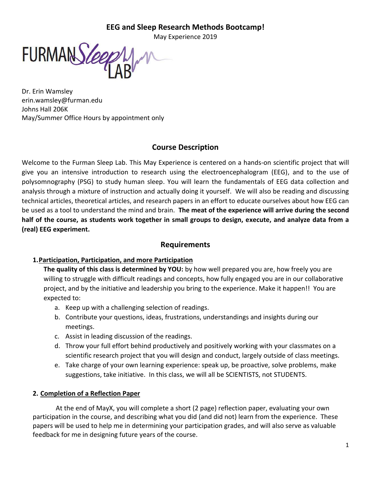# **EEG and Sleep Research Methods Bootcamp!**

May Experience 2019

FURMANS leep

Dr. Erin Wamsley erin.wamsley@furman.edu Johns Hall 206K May/Summer Office Hours by appointment only

# **Course Description**

Welcome to the Furman Sleep Lab. This May Experience is centered on a hands-on scientific project that will give you an intensive introduction to research using the electroencephalogram (EEG), and to the use of polysomnography (PSG) to study human sleep. You will learn the fundamentals of EEG data collection and analysis through a mixture of instruction and actually doing it yourself. We will also be reading and discussing technical articles, theoretical articles, and research papers in an effort to educate ourselves about how EEG can be used as a tool to understand the mind and brain. **The meat of the experience will arrive during the second half of the course, as students work together in small groups to design, execute, and analyze data from a (real) EEG experiment.**

# **Requirements**

# **1.Participation, Participation, and more Participation**

**The quality of this class is determined by YOU:** by how well prepared you are, how freely you are willing to struggle with difficult readings and concepts, how fully engaged you are in our collaborative project, and by the initiative and leadership you bring to the experience. Make it happen!!You are expected to:

- a. Keep up with a challenging selection of readings.
- b. Contribute your questions, ideas, frustrations, understandings and insights during our meetings.
- c. Assist in leading discussion of the readings.
- d. Throw your full effort behind productively and positively working with your classmates on a scientific research project that you will design and conduct, largely outside of class meetings.
- e. Take charge of your own learning experience: speak up, be proactive, solve problems, make suggestions, take initiative. In this class, we will all be SCIENTISTS, not STUDENTS.

# **2. Completion of a Reflection Paper**

At the end of MayX, you will complete a short (2 page) reflection paper, evaluating your own participation in the course, and describing what you did (and did not) learn from the experience. These papers will be used to help me in determining your participation grades, and will also serve as valuable feedback for me in designing future years of the course.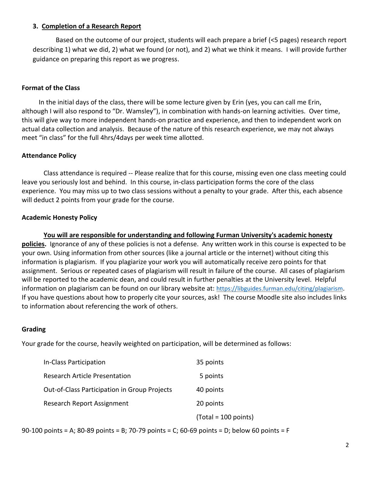# **3. Completion of a Research Report**

Based on the outcome of our project, students will each prepare a brief (<5 pages) research report describing 1) what we did, 2) what we found (or not), and 2) what we think it means. I will provide further guidance on preparing this report as we progress.

# **Format of the Class**

In the initial days of the class, there will be some lecture given by Erin (yes, you can call me Erin, although I will also respond to "Dr. Wamsley"), in combination with hands-on learning activities. Over time, this will give way to more independent hands-on practice and experience, and then to independent work on actual data collection and analysis. Because of the nature of this research experience, we may not always meet "in class" for the full 4hrs/4days per week time allotted.

## **Attendance Policy**

Class attendance is required -- Please realize that for this course, missing even one class meeting could leave you seriously lost and behind. In this course, in-class participation forms the core of the class experience. You may miss up to two class sessions without a penalty to your grade. After this, each absence will deduct 2 points from your grade for the course.

## **Academic Honesty Policy**

**You will are responsible for understanding and following Furman University's academic honesty policies.** Ignorance of any of these policies is not a defense. Any written work in this course is expected to be your own. Using information from other sources (like a journal article or the internet) without citing this information is plagiarism. If you plagiarize your work you will automatically receive zero points for that assignment. Serious or repeated cases of plagiarism will result in failure of the course. All cases of plagiarism will be reported to the academic dean, and could result in further penalties at the University level. Helpful information on plagiarism can be found on our library website at: <https://libguides.furman.edu/citing/plagiarism>. If you have questions about how to properly cite your sources, ask! The course Moodle site also includes links to information about referencing the work of others.

## **Grading**

Your grade for the course, heavily weighted on participation, will be determined as follows:

| In-Class Participation                       | 35 points              |
|----------------------------------------------|------------------------|
| <b>Research Article Presentation</b>         | 5 points               |
| Out-of-Class Participation in Group Projects | 40 points              |
| Research Report Assignment                   | 20 points              |
|                                              | $(Total = 100 points)$ |

90-100 points = A; 80-89 points = B; 70-79 points = C; 60-69 points = D; below 60 points = F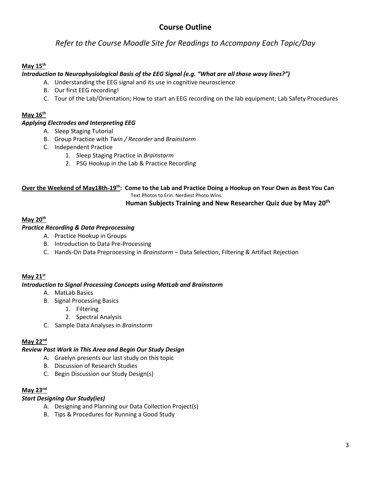# **Course Outline**

*Refer to the Course Moodle Site for Readings to Accompany Each Topic/Day*

# **May 15 th**

# *Introduction to Neurophysiological Basis of the EEG Signal (e.g. "What are all those wavy lines?")*

- A. Understanding the EEG signal and its use in cognitive neuroscience
- B. Our first EEG recording!
- C. Tour of the Lab/Orientation; How to start an EEG recording on the lab equipment; Lab Safety Procedures

#### **May 16 th**

## *Applying Electrodes and Interpreting EEG*

- A. Sleep Staging Tutorial
- B. Group Practice with *Twin / Recorder* and *Brainstorm*
- C. Independent Practice
	- 1. Sleep Staging Practice in *Brainstorm*
	- 2. PSG Hookup in the Lab & Practice Recording

**Over the Weekend of May18th-19th: Come to the Lab and Practice Doing a Hookup on Your Own as Best You Can** Text Photos to Erin. Nerdiest Photo Wins.

## **Human Subjects Training and New Researcher Quiz due by May 20th**

#### **May 20th**

## *Practice Recording & Data Preprocessing*

- A. Practice Hookup in Groups
- B. Introduction to Data Pre-Processing
- C. Hands-On Data Preprocessing in *Brainstorm* Data Selection, Filtering & Artifact Rejection

#### **May 21st**

#### *Introduction to Signal Processing Concepts using MatLab and Brainstorm*

- A. MatLab Basics
- B. Signal Processing Basics
	- 1. Filtering
	- 2. Spectral Analysis
- C. Sample Data Analyses in *Brainstorm*

#### **May 22nd**

#### *Review Past Work in This Area and Begin Our Study Design*

- A. Graelyn presents our last study on this topic
- B. Discussion of Research Studies
- C. Begin Discussion our Study Design(s)

#### **May 23 nd**

#### *Start Designing Our Study(ies)*

- A. Designing and Planning our Data Collection Project(s)
- B. Tips & Procedures for Running a Good Study